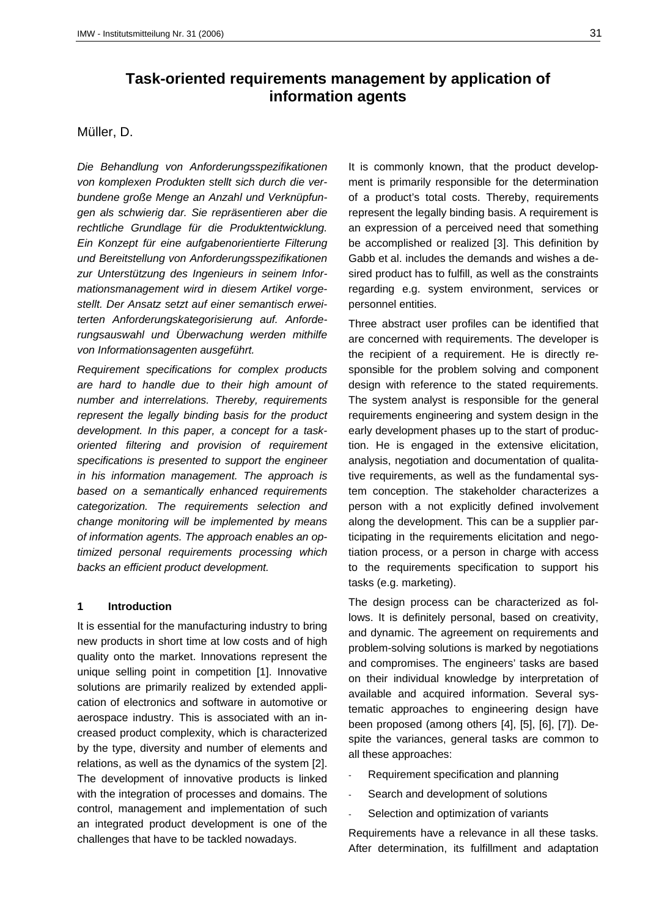# **Task-oriented requirements management by application of information agents**

## Müller, D.

*Die Behandlung von Anforderungsspezifikationen von komplexen Produkten stellt sich durch die verbundene große Menge an Anzahl und Verknüpfungen als schwierig dar. Sie repräsentieren aber die rechtliche Grundlage für die Produktentwicklung. Ein Konzept für eine aufgabenorientierte Filterung und Bereitstellung von Anforderungsspezifikationen zur Unterstützung des Ingenieurs in seinem Informationsmanagement wird in diesem Artikel vorgestellt. Der Ansatz setzt auf einer semantisch erweiterten Anforderungskategorisierung auf. Anforderungsauswahl und Überwachung werden mithilfe von Informationsagenten ausgeführt.* 

*Requirement specifications for complex products are hard to handle due to their high amount of number and interrelations. Thereby, requirements represent the legally binding basis for the product development. In this paper, a concept for a taskoriented filtering and provision of requirement specifications is presented to support the engineer in his information management. The approach is based on a semantically enhanced requirements categorization. The requirements selection and change monitoring will be implemented by means of information agents. The approach enables an optimized personal requirements processing which backs an efficient product development.* 

### **1 Introduction**

It is essential for the manufacturing industry to bring new products in short time at low costs and of high quality onto the market. Innovations represent the unique selling point in competition [1]. Innovative solutions are primarily realized by extended application of electronics and software in automotive or aerospace industry. This is associated with an increased product complexity, which is characterized by the type, diversity and number of elements and relations, as well as the dynamics of the system [2]. The development of innovative products is linked with the integration of processes and domains. The control, management and implementation of such an integrated product development is one of the challenges that have to be tackled nowadays.

It is commonly known, that the product development is primarily responsible for the determination of a product's total costs. Thereby, requirements represent the legally binding basis. A requirement is an expression of a perceived need that something be accomplished or realized [3]. This definition by Gabb et al. includes the demands and wishes a desired product has to fulfill, as well as the constraints regarding e.g. system environment, services or personnel entities.

Three abstract user profiles can be identified that are concerned with requirements. The developer is the recipient of a requirement. He is directly responsible for the problem solving and component design with reference to the stated requirements. The system analyst is responsible for the general requirements engineering and system design in the early development phases up to the start of production. He is engaged in the extensive elicitation, analysis, negotiation and documentation of qualitative requirements, as well as the fundamental system conception. The stakeholder characterizes a person with a not explicitly defined involvement along the development. This can be a supplier participating in the requirements elicitation and negotiation process, or a person in charge with access to the requirements specification to support his tasks (e.g. marketing).

The design process can be characterized as follows. It is definitely personal, based on creativity, and dynamic. The agreement on requirements and problem-solving solutions is marked by negotiations and compromises. The engineers' tasks are based on their individual knowledge by interpretation of available and acquired information. Several systematic approaches to engineering design have been proposed (among others [4], [5], [6], [7]). Despite the variances, general tasks are common to all these approaches:

- Requirement specification and planning
- Search and development of solutions
- Selection and optimization of variants

Requirements have a relevance in all these tasks. After determination, its fulfillment and adaptation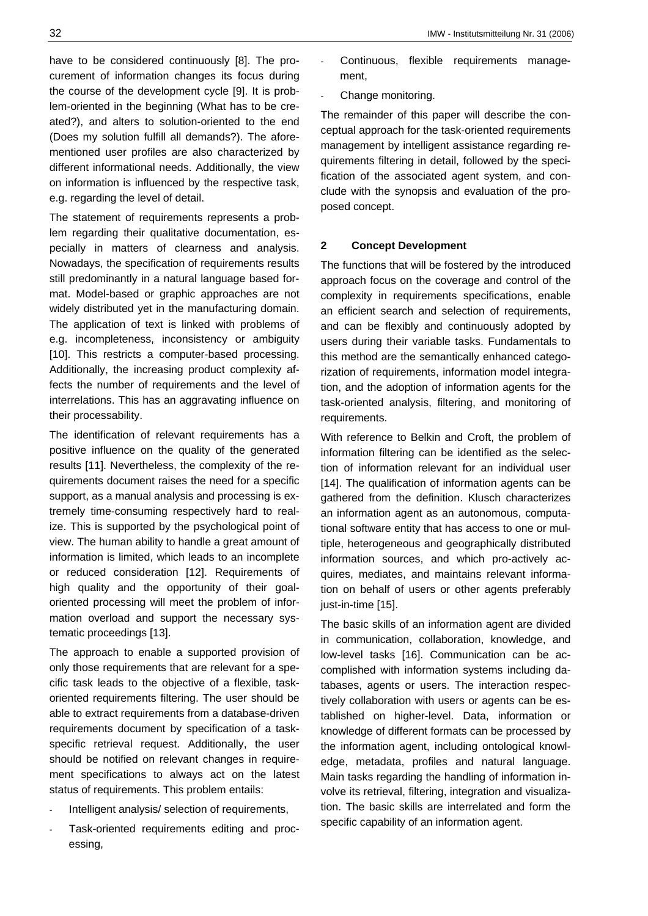have to be considered continuously [8]. The procurement of information changes its focus during the course of the development cycle [9]. It is problem-oriented in the beginning (What has to be created?), and alters to solution-oriented to the end (Does my solution fulfill all demands?). The aforementioned user profiles are also characterized by different informational needs. Additionally, the view on information is influenced by the respective task, e.g. regarding the level of detail.

The statement of requirements represents a problem regarding their qualitative documentation, especially in matters of clearness and analysis. Nowadays, the specification of requirements results still predominantly in a natural language based format. Model-based or graphic approaches are not widely distributed yet in the manufacturing domain. The application of text is linked with problems of e.g. incompleteness, inconsistency or ambiguity [10]. This restricts a computer-based processing. Additionally, the increasing product complexity affects the number of requirements and the level of interrelations. This has an aggravating influence on their processability.

The identification of relevant requirements has a positive influence on the quality of the generated results [11]. Nevertheless, the complexity of the requirements document raises the need for a specific support, as a manual analysis and processing is extremely time-consuming respectively hard to realize. This is supported by the psychological point of view. The human ability to handle a great amount of information is limited, which leads to an incomplete or reduced consideration [12]. Requirements of high quality and the opportunity of their goaloriented processing will meet the problem of information overload and support the necessary systematic proceedings [13].

The approach to enable a supported provision of only those requirements that are relevant for a specific task leads to the objective of a flexible, taskoriented requirements filtering. The user should be able to extract requirements from a database-driven requirements document by specification of a taskspecific retrieval request. Additionally, the user should be notified on relevant changes in requirement specifications to always act on the latest status of requirements. This problem entails:

- Intelligent analysis/ selection of requirements,
- Task-oriented requirements editing and processing,
- Continuous, flexible requirements management,
- Change monitoring.

The remainder of this paper will describe the conceptual approach for the task-oriented requirements management by intelligent assistance regarding requirements filtering in detail, followed by the specification of the associated agent system, and conclude with the synopsis and evaluation of the proposed concept.

#### **2 Concept Development**

The functions that will be fostered by the introduced approach focus on the coverage and control of the complexity in requirements specifications, enable an efficient search and selection of requirements, and can be flexibly and continuously adopted by users during their variable tasks. Fundamentals to this method are the semantically enhanced categorization of requirements, information model integration, and the adoption of information agents for the task-oriented analysis, filtering, and monitoring of requirements.

With reference to Belkin and Croft, the problem of information filtering can be identified as the selection of information relevant for an individual user [14]. The qualification of information agents can be gathered from the definition. Klusch characterizes an information agent as an autonomous, computational software entity that has access to one or multiple, heterogeneous and geographically distributed information sources, and which pro-actively acquires, mediates, and maintains relevant information on behalf of users or other agents preferably just-in-time [15].

The basic skills of an information agent are divided in communication, collaboration, knowledge, and low-level tasks [16]. Communication can be accomplished with information systems including databases, agents or users. The interaction respectively collaboration with users or agents can be established on higher-level. Data, information or knowledge of different formats can be processed by the information agent, including ontological knowledge, metadata, profiles and natural language. Main tasks regarding the handling of information involve its retrieval, filtering, integration and visualization. The basic skills are interrelated and form the specific capability of an information agent.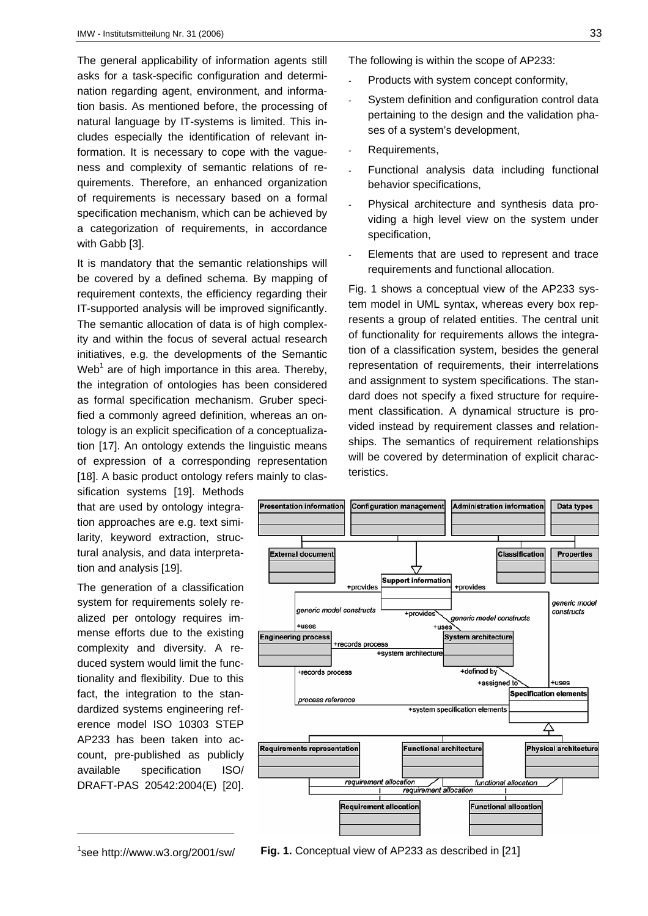The general applicability of information agents still asks for a task-specific configuration and determination regarding agent, environment, and information basis. As mentioned before, the processing of natural language by IT-systems is limited. This includes especially the identification of relevant information. It is necessary to cope with the vagueness and complexity of semantic relations of requirements. Therefore, an enhanced organization of requirements is necessary based on a formal specification mechanism, which can be achieved by a categorization of requirements, in accordance with Gabb [3].

It is mandatory that the semantic relationships will be covered by a defined schema. By mapping of requirement contexts, the efficiency regarding their IT-supported analysis will be improved significantly. The semantic allocation of data is of high complexity and within the focus of several actual research initiatives, e.g. the developments of the Semantic Web<sup>1</sup> are of high importance in this area. Thereby, the integration of ontologies has been considered as formal specification mechanism. Gruber specified a commonly agreed definition, whereas an ontology is an explicit specification of a conceptualization [17]. An ontology extends the linguistic means of expression of a corresponding representation [18]. A basic product ontology refers mainly to clas-

sification systems [19]. Methods that are used by ontology integration approaches are e.g. text similarity, keyword extraction, structural analysis, and data interpretation and analysis [19].

The generation of a classification system for requirements solely realized per ontology requires immense efforts due to the existing complexity and diversity. A reduced system would limit the functionality and flexibility. Due to this fact, the integration to the standardized systems engineering reference model ISO 10303 STEP AP233 has been taken into account, pre-published as publicly available specification ISO/ DRAFT-PAS 20542:2004(E) [20].

The following is within the scope of AP233:

- Products with system concept conformity,
- System definition and configuration control data pertaining to the design and the validation phases of a system's development,
- Requirements,
- Functional analysis data including functional behavior specifications,
- Physical architecture and synthesis data providing a high level view on the system under specification,
- Elements that are used to represent and trace requirements and functional allocation.

Fig. 1 shows a conceptual view of the AP233 system model in UML syntax, whereas every box represents a group of related entities. The central unit of functionality for requirements allows the integration of a classification system, besides the general representation of requirements, their interrelations and assignment to system specifications. The standard does not specify a fixed structure for requirement classification. A dynamical structure is provided instead by requirement classes and relationships. The semantics of requirement relationships will be covered by determination of explicit characteristics.



<sup>&</sup>lt;sup>1</sup>see http://www.w3.org/2001/sw/

l

 **Fig. 1.** Conceptual view of AP233 as described in [21]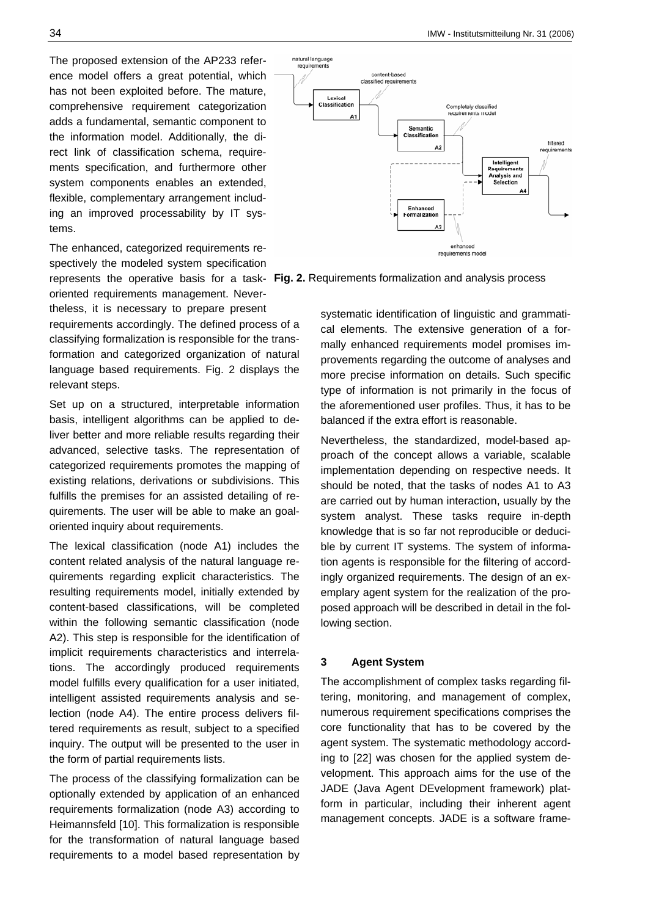The proposed extension of the AP233 reference model offers a great potential, which has not been exploited before. The mature, comprehensive requirement categorization adds a fundamental, semantic component to the information model. Additionally, the direct link of classification schema, requirements specification, and furthermore other system components enables an extended, flexible, complementary arrangement including an improved processability by IT systems.

The enhanced, categorized requirements respectively the modeled system specification

oriented requirements management. Nevertheless, it is necessary to prepare present requirements accordingly. The defined process of a classifying formalization is responsible for the transformation and categorized organization of natural language based requirements. Fig. 2 displays the relevant steps.

Set up on a structured, interpretable information basis, intelligent algorithms can be applied to deliver better and more reliable results regarding their advanced, selective tasks. The representation of categorized requirements promotes the mapping of existing relations, derivations or subdivisions. This fulfills the premises for an assisted detailing of requirements. The user will be able to make an goaloriented inquiry about requirements.

The lexical classification (node A1) includes the content related analysis of the natural language requirements regarding explicit characteristics. The resulting requirements model, initially extended by content-based classifications, will be completed within the following semantic classification (node A2). This step is responsible for the identification of implicit requirements characteristics and interrelations. The accordingly produced requirements model fulfills every qualification for a user initiated, intelligent assisted requirements analysis and selection (node A4). The entire process delivers filtered requirements as result, subject to a specified inquiry. The output will be presented to the user in the form of partial requirements lists.

The process of the classifying formalization can be optionally extended by application of an enhanced requirements formalization (node A3) according to Heimannsfeld [10]. This formalization is responsible for the transformation of natural language based requirements to a model based representation by



represents the operative basis for a task-**Fig. 2.** Requirements formalization and analysis process

systematic identification of linguistic and grammatical elements. The extensive generation of a formally enhanced requirements model promises improvements regarding the outcome of analyses and more precise information on details. Such specific type of information is not primarily in the focus of the aforementioned user profiles. Thus, it has to be balanced if the extra effort is reasonable.

Nevertheless, the standardized, model-based approach of the concept allows a variable, scalable implementation depending on respective needs. It should be noted, that the tasks of nodes A1 to A3 are carried out by human interaction, usually by the system analyst. These tasks require in-depth knowledge that is so far not reproducible or deducible by current IT systems. The system of information agents is responsible for the filtering of accordingly organized requirements. The design of an exemplary agent system for the realization of the proposed approach will be described in detail in the following section.

#### **3 Agent System**

The accomplishment of complex tasks regarding filtering, monitoring, and management of complex, numerous requirement specifications comprises the core functionality that has to be covered by the agent system. The systematic methodology according to [22] was chosen for the applied system development. This approach aims for the use of the JADE (Java Agent DEvelopment framework) platform in particular, including their inherent agent management concepts. JADE is a software frame-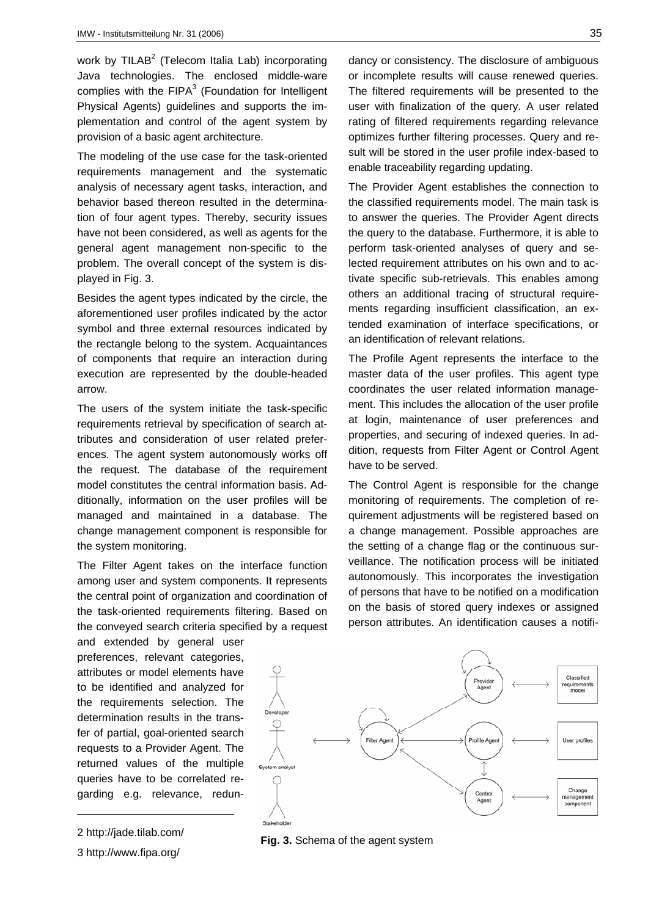work by TILAB<sup>2</sup> (Telecom Italia Lab) incorporating Java technologies. The enclosed middle-ware complies with the  $FIPA^3$  (Foundation for Intelligent Physical Agents) guidelines and supports the implementation and control of the agent system by provision of a basic agent architecture.

The modeling of the use case for the task-oriented requirements management and the systematic analysis of necessary agent tasks, interaction, and behavior based thereon resulted in the determination of four agent types. Thereby, security issues have not been considered, as well as agents for the general agent management non-specific to the problem. The overall concept of the system is displayed in Fig. 3.

Besides the agent types indicated by the circle, the aforementioned user profiles indicated by the actor symbol and three external resources indicated by the rectangle belong to the system. Acquaintances of components that require an interaction during execution are represented by the double-headed arrow.

The users of the system initiate the task-specific requirements retrieval by specification of search attributes and consideration of user related preferences. The agent system autonomously works off the request. The database of the requirement model constitutes the central information basis. Additionally, information on the user profiles will be managed and maintained in a database. The change management component is responsible for the system monitoring.

The Filter Agent takes on the interface function among user and system components. It represents the central point of organization and coordination of the task-oriented requirements filtering. Based on the conveyed search criteria specified by a request

and extended by general user preferences, relevant categories, attributes or model elements have to be identified and analyzed for the requirements selection. The determination results in the transfer of partial, goal-oriented search requests to a Provider Agent. The returned values of the multiple queries have to be correlated regarding e.g. relevance, redun-

l

dancy or consistency. The disclosure of ambiguous or incomplete results will cause renewed queries. The filtered requirements will be presented to the user with finalization of the query. A user related rating of filtered requirements regarding relevance optimizes further filtering processes. Query and result will be stored in the user profile index-based to enable traceability regarding updating.

The Provider Agent establishes the connection to the classified requirements model. The main task is to answer the queries. The Provider Agent directs the query to the database. Furthermore, it is able to perform task-oriented analyses of query and selected requirement attributes on his own and to activate specific sub-retrievals. This enables among others an additional tracing of structural requirements regarding insufficient classification, an extended examination of interface specifications, or an identification of relevant relations.

The Profile Agent represents the interface to the master data of the user profiles. This agent type coordinates the user related information management. This includes the allocation of the user profile at login, maintenance of user preferences and properties, and securing of indexed queries. In addition, requests from Filter Agent or Control Agent have to be served.

The Control Agent is responsible for the change monitoring of requirements. The completion of requirement adjustments will be registered based on a change management. Possible approaches are the setting of a change flag or the continuous surveillance. The notification process will be initiated autonomously. This incorporates the investigation of persons that have to be notified on a modification on the basis of stored query indexes or assigned person attributes. An identification causes a notifi-



 **Fig. 3.** Schema of the agent system

<sup>2</sup> http://jade.tilab.com/

<sup>3</sup> http://www.fipa.org/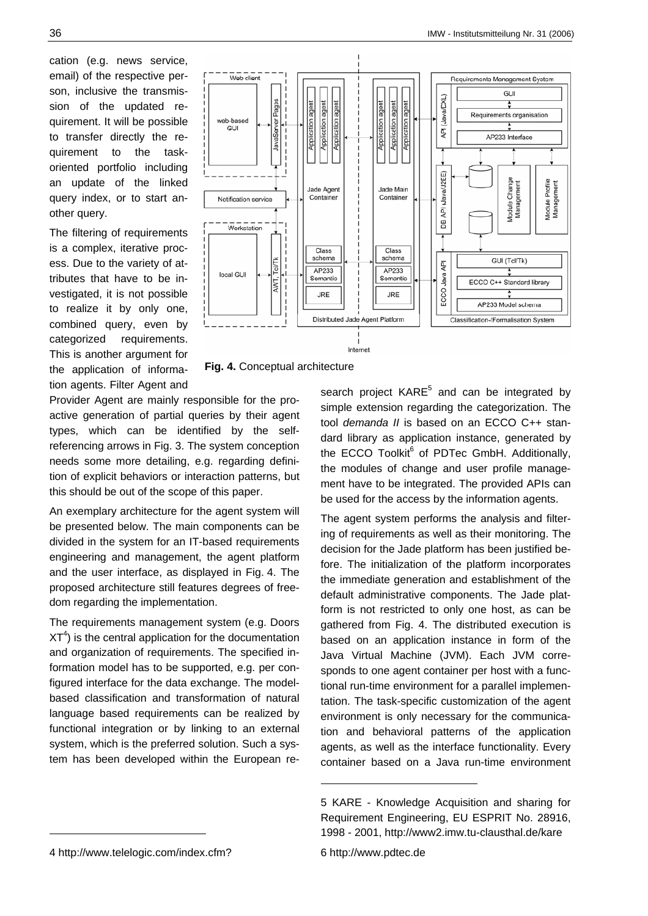cation (e.g. news service, email) of the respective person, inclusive the transmission of the updated requirement. It will be possible to transfer directly the requirement to the taskoriented portfolio including an update of the linked query index, or to start another query.

The filtering of requirements is a complex, iterative process. Due to the variety of attributes that have to be investigated, it is not possible to realize it by only one, combined query, even by categorized requirements. This is another argument for the application of information agents. Filter Agent and



 **Fig. 4.** Conceptual architecture

Provider Agent are mainly responsible for the proactive generation of partial queries by their agent types, which can be identified by the selfreferencing arrows in Fig. 3. The system conception needs some more detailing, e.g. regarding definition of explicit behaviors or interaction patterns, but this should be out of the scope of this paper.

An exemplary architecture for the agent system will be presented below. The main components can be divided in the system for an IT-based requirements engineering and management, the agent platform and the user interface, as displayed in Fig. 4. The proposed architecture still features degrees of freedom regarding the implementation.

The requirements management system (e.g. Doors  $XT<sup>4</sup>$ ) is the central application for the documentation and organization of requirements. The specified information model has to be supported, e.g. per configured interface for the data exchange. The modelbased classification and transformation of natural language based requirements can be realized by functional integration or by linking to an external system, which is the preferred solution. Such a system has been developed within the European re-

search project KARE<sup>5</sup> and can be integrated by simple extension regarding the categorization. The tool *demanda II* is based on an ECCO C++ standard library as application instance, generated by the ECCO Toolkit<sup>6</sup> of PDTec GmbH. Additionally, the modules of change and user profile management have to be integrated. The provided APIs can be used for the access by the information agents.

The agent system performs the analysis and filtering of requirements as well as their monitoring. The decision for the Jade platform has been justified before. The initialization of the platform incorporates the immediate generation and establishment of the default administrative components. The Jade platform is not restricted to only one host, as can be gathered from Fig. 4. The distributed execution is based on an application instance in form of the Java Virtual Machine (JVM). Each JVM corresponds to one agent container per host with a functional run-time environment for a parallel implementation. The task-specific customization of the agent environment is only necessary for the communication and behavioral patterns of the application agents, as well as the interface functionality. Every container based on a Java run-time environment

-

l

<sup>5</sup> KARE - Knowledge Acquisition and sharing for Requirement Engineering, EU ESPRIT No. 28916, 1998 - 2001, http://www2.imw.tu-clausthal.de/kare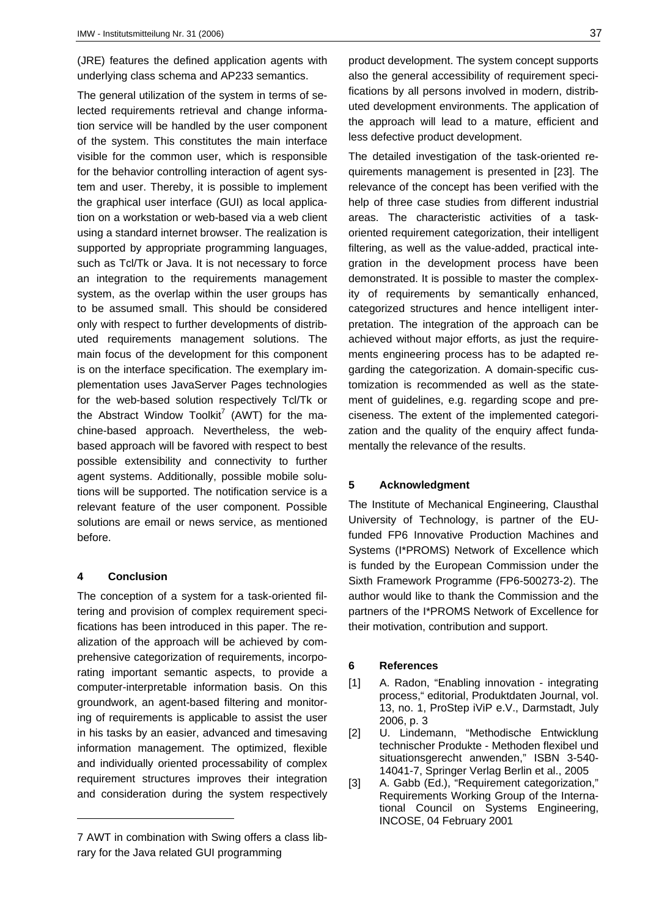(JRE) features the defined application agents with underlying class schema and AP233 semantics.

The general utilization of the system in terms of selected requirements retrieval and change information service will be handled by the user component of the system. This constitutes the main interface visible for the common user, which is responsible for the behavior controlling interaction of agent system and user. Thereby, it is possible to implement the graphical user interface (GUI) as local application on a workstation or web-based via a web client using a standard internet browser. The realization is supported by appropriate programming languages, such as Tcl/Tk or Java. It is not necessary to force an integration to the requirements management system, as the overlap within the user groups has to be assumed small. This should be considered only with respect to further developments of distributed requirements management solutions. The main focus of the development for this component is on the interface specification. The exemplary implementation uses JavaServer Pages technologies for the web-based solution respectively Tcl/Tk or the Abstract Window Toolkit<sup>7</sup> (AWT) for the machine-based approach. Nevertheless, the webbased approach will be favored with respect to best possible extensibility and connectivity to further agent systems. Additionally, possible mobile solutions will be supported. The notification service is a relevant feature of the user component. Possible solutions are email or news service, as mentioned before.

#### **4 Conclusion**

l

The conception of a system for a task-oriented filtering and provision of complex requirement specifications has been introduced in this paper. The realization of the approach will be achieved by comprehensive categorization of requirements, incorporating important semantic aspects, to provide a computer-interpretable information basis. On this groundwork, an agent-based filtering and monitoring of requirements is applicable to assist the user in his tasks by an easier, advanced and timesaving information management. The optimized, flexible and individually oriented processability of complex requirement structures improves their integration and consideration during the system respectively

product development. The system concept supports also the general accessibility of requirement specifications by all persons involved in modern, distributed development environments. The application of the approach will lead to a mature, efficient and less defective product development.

The detailed investigation of the task-oriented requirements management is presented in [23]. The relevance of the concept has been verified with the help of three case studies from different industrial areas. The characteristic activities of a taskoriented requirement categorization, their intelligent filtering, as well as the value-added, practical integration in the development process have been demonstrated. It is possible to master the complexity of requirements by semantically enhanced, categorized structures and hence intelligent interpretation. The integration of the approach can be achieved without major efforts, as just the requirements engineering process has to be adapted regarding the categorization. A domain-specific customization is recommended as well as the statement of guidelines, e.g. regarding scope and preciseness. The extent of the implemented categorization and the quality of the enquiry affect fundamentally the relevance of the results.

#### **5 Acknowledgment**

The Institute of Mechanical Engineering, Clausthal University of Technology, is partner of the EUfunded FP6 Innovative Production Machines and Systems (I\*PROMS) Network of Excellence which is funded by the European Commission under the Sixth Framework Programme (FP6-500273-2). The author would like to thank the Commission and the partners of the I\*PROMS Network of Excellence for their motivation, contribution and support.

#### **6 References**

- [1] A. Radon, "Enabling innovation integrating process," editorial, Produktdaten Journal, vol. 13, no. 1, ProStep iViP e.V., Darmstadt, July 2006, p. 3
- [2] U. Lindemann, "Methodische Entwicklung technischer Produkte - Methoden flexibel und situationsgerecht anwenden," ISBN 3-540- 14041-7, Springer Verlag Berlin et al., 2005
- [3] A. Gabb (Ed.), "Requirement categorization," Requirements Working Group of the International Council on Systems Engineering, INCOSE, 04 February 2001

<sup>7</sup> AWT in combination with Swing offers a class library for the Java related GUI programming